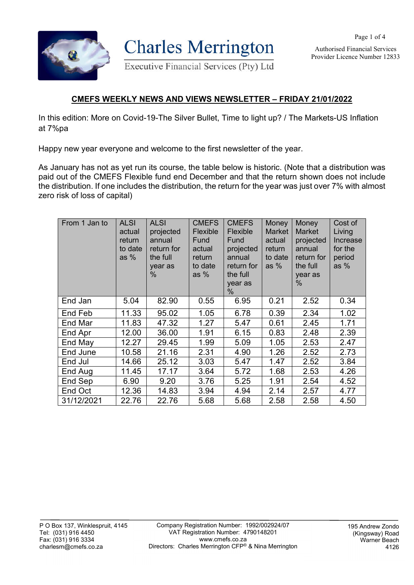

**Charles Merrington** 

**Executive Financial Services (Pty) Ltd** 

Authorised Financial Services Provider Licence Number 12833

Page 1 of 4

## **CMEFS WEEKLY NEWS AND VIEWS NEWSLETTER – FRIDAY 21/01/2022**

In this edition: More on Covid-19-The Silver Bullet, Time to light up? / The Markets-US Inflation at 7%pa

Happy new year everyone and welcome to the first newsletter of the year.

As January has not as yet run its course, the table below is historic. (Note that a distribution was paid out of the CMEFS Flexible fund end December and that the return shown does not include the distribution. If one includes the distribution, the return for the year was just over 7% with almost zero risk of loss of capital)

| From 1 Jan to | <b>ALSI</b><br>actual<br>return<br>to date<br>as $%$ | <b>ALSI</b><br>projected<br>annual<br>return for<br>the full<br>year as<br>$\%$ | <b>CMEFS</b><br>Flexible<br>Fund<br>actual<br>return<br>to date<br>as $%$ | <b>CMEFS</b><br>Flexible<br>Fund<br>projected<br>annual<br>return for<br>the full<br>year as<br>% | Money<br><b>Market</b><br>actual<br>return<br>to date<br>as $%$ | Money<br><b>Market</b><br>projected<br>annual<br>return for<br>the full<br>year as<br>$\%$ | Cost of<br>Living<br>Increase<br>for the<br>period<br>as $%$ |
|---------------|------------------------------------------------------|---------------------------------------------------------------------------------|---------------------------------------------------------------------------|---------------------------------------------------------------------------------------------------|-----------------------------------------------------------------|--------------------------------------------------------------------------------------------|--------------------------------------------------------------|
| End Jan       | 5.04                                                 | 82.90                                                                           | 0.55                                                                      | 6.95                                                                                              | 0.21                                                            | 2.52                                                                                       | 0.34                                                         |
| End Feb       | 11.33                                                | 95.02                                                                           | 1.05                                                                      | 6.78                                                                                              | 0.39                                                            | 2.34                                                                                       | 1.02                                                         |
| End Mar       | 11.83                                                | 47.32                                                                           | 1.27                                                                      | 5.47                                                                                              | 0.61                                                            | 2.45                                                                                       | 1.71                                                         |
| End Apr       | 12.00                                                | 36.00                                                                           | 1.91                                                                      | 6.15                                                                                              | 0.83                                                            | 2.48                                                                                       | 2.39                                                         |
| End May       | 12.27                                                | 29.45                                                                           | 1.99                                                                      | 5.09                                                                                              | 1.05                                                            | 2.53                                                                                       | 2.47                                                         |
| End June      | 10.58                                                | 21.16                                                                           | 2.31                                                                      | 4.90                                                                                              | 1.26                                                            | 2.52                                                                                       | 2.73                                                         |
| End Jul       | 14.66                                                | 25.12                                                                           | 3.03                                                                      | 5.47                                                                                              | 1.47                                                            | 2.52                                                                                       | 3.84                                                         |
| End Aug       | 11.45                                                | 17.17                                                                           | 3.64                                                                      | 5.72                                                                                              | 1.68                                                            | 2.53                                                                                       | 4.26                                                         |
| End Sep       | 6.90                                                 | 9.20                                                                            | 3.76                                                                      | 5.25                                                                                              | 1.91                                                            | 2.54                                                                                       | 4.52                                                         |
| End Oct       | 12.36                                                | 14.83                                                                           | 3.94                                                                      | 4.94                                                                                              | 2.14                                                            | 2.57                                                                                       | 4.77                                                         |
| 31/12/2021    | 22.76                                                | 22.76                                                                           | 5.68                                                                      | 5.68                                                                                              | 2.58                                                            | 2.58                                                                                       | 4.50                                                         |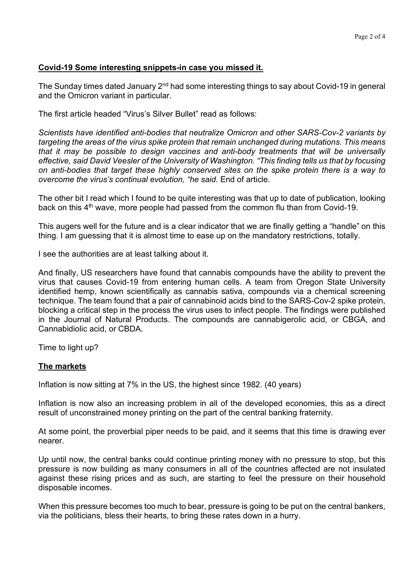## **Covid-19 Some interesting snippets-in case you missed it.**

The Sunday times dated January 2<sup>nd</sup> had some interesting things to say about Covid-19 in general and the Omicron variant in particular.

The first article headed "Virus's Silver Bullet" read as follows:

*Scientists have identified anti-bodies that neutralize Omicron and other SARS-Cov-2 variants by targeting the areas of the virus spike protein that remain unchanged during mutations. This means that it may be possible to design vaccines and anti-body treatments that will be universally effective, said David Veesler of the University of Washington. "This finding tells us that by focusing on anti-bodies that target these highly conserved sites on the spike protein there is a way to overcome the virus's continual evolution, "he said*. End of article.

The other bit I read which I found to be quite interesting was that up to date of publication, looking back on this 4<sup>th</sup> wave, more people had passed from the common flu than from Covid-19.

This augers well for the future and is a clear indicator that we are finally getting a "handle" on this thing. I am guessing that it is almost time to ease up on the mandatory restrictions, totally.

I see the authorities are at least talking about it.

And finally, US researchers have found that cannabis compounds have the ability to prevent the virus that causes Covid-19 from entering human cells. A team from Oregon State University identified hemp, known scientifically as cannabis sativa, compounds via a chemical screening technique. The team found that a pair of cannabinoid acids bind to the SARS-Cov-2 spike protein, blocking a critical step in the process the virus uses to infect people. The findings were published in the Journal of Natural Products. The compounds are cannabigerolic acid, or CBGA, and Cannabidiolic acid, or CBDA.

Time to light up?

## **The markets**

Inflation is now sitting at 7% in the US, the highest since 1982. (40 years)

Inflation is now also an increasing problem in all of the developed economies, this as a direct result of unconstrained money printing on the part of the central banking fraternity.

At some point, the proverbial piper needs to be paid, and it seems that this time is drawing ever nearer.

Up until now, the central banks could continue printing money with no pressure to stop, but this pressure is now building as many consumers in all of the countries affected are not insulated against these rising prices and as such, are starting to feel the pressure on their household disposable incomes.

When this pressure becomes too much to bear, pressure is going to be put on the central bankers, via the politicians, bless their hearts, to bring these rates down in a hurry.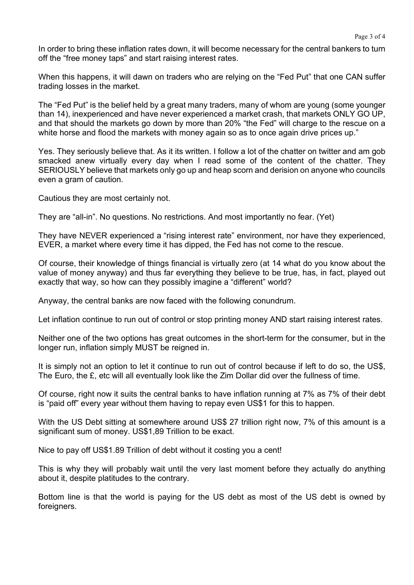In order to bring these inflation rates down, it will become necessary for the central bankers to turn off the "free money taps" and start raising interest rates.

When this happens, it will dawn on traders who are relying on the "Fed Put" that one CAN suffer trading losses in the market.

The "Fed Put" is the belief held by a great many traders, many of whom are young (some younger than 14), inexperienced and have never experienced a market crash, that markets ONLY GO UP, and that should the markets go down by more than 20% "the Fed" will charge to the rescue on a white horse and flood the markets with money again so as to once again drive prices up."

Yes. They seriously believe that. As it its written. I follow a lot of the chatter on twitter and am gob smacked anew virtually every day when I read some of the content of the chatter. They SERIOUSLY believe that markets only go up and heap scorn and derision on anyone who councils even a gram of caution.

Cautious they are most certainly not.

They are "all-in". No questions. No restrictions. And most importantly no fear. (Yet)

They have NEVER experienced a "rising interest rate" environment, nor have they experienced, EVER, a market where every time it has dipped, the Fed has not come to the rescue.

Of course, their knowledge of things financial is virtually zero (at 14 what do you know about the value of money anyway) and thus far everything they believe to be true, has, in fact, played out exactly that way, so how can they possibly imagine a "different" world?

Anyway, the central banks are now faced with the following conundrum.

Let inflation continue to run out of control or stop printing money AND start raising interest rates.

Neither one of the two options has great outcomes in the short-term for the consumer, but in the longer run, inflation simply MUST be reigned in.

It is simply not an option to let it continue to run out of control because if left to do so, the US\$, The Euro, the £, etc will all eventually look like the Zim Dollar did over the fullness of time.

Of course, right now it suits the central banks to have inflation running at 7% as 7% of their debt is "paid off" every year without them having to repay even US\$1 for this to happen.

With the US Debt sitting at somewhere around US\$ 27 trillion right now, 7% of this amount is a significant sum of money. US\$1,89 Trillion to be exact.

Nice to pay off US\$1.89 Trillion of debt without it costing you a cent!

This is why they will probably wait until the very last moment before they actually do anything about it, despite platitudes to the contrary.

Bottom line is that the world is paying for the US debt as most of the US debt is owned by foreigners.